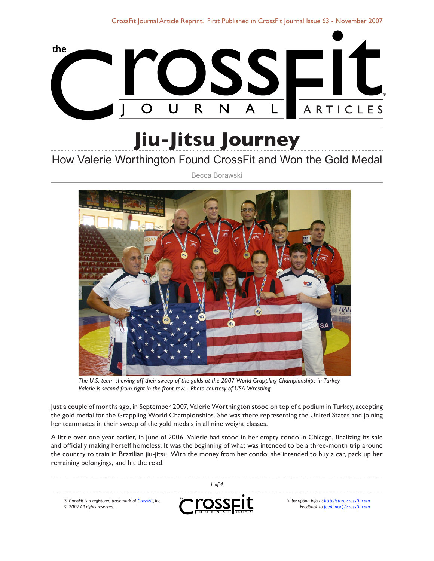

# **Jiu-Jitsu Journey**

# How Valerie Worthington Found CrossFit and Won the Gold Medal

Becca Borawski



*The U.S. team showing off their sweep of the golds at the 2007 World Grappling Championships in Turkey. Valerie is second from right in the front row. - Photo courtesy of USA Wrestling*

Just a couple of months ago, in September 2007, Valerie Worthington stood on top of a podium in Turkey, accepting the gold medal for the Grappling World Championships. She was there representing the United States and joining her teammates in their sweep of the gold medals in all nine weight classes.

A little over one year earlier, in June of 2006, Valerie had stood in her empty condo in Chicago, finalizing its sale and officially making herself homeless. It was the beginning of what was intended to be a three-month trip around the country to train in Brazilian jiu-jitsu. With the money from her condo, she intended to buy a car, pack up her remaining belongings, and hit the road.

| of 4                                                                                  |          |                                                                                     |
|---------------------------------------------------------------------------------------|----------|-------------------------------------------------------------------------------------|
| ® CrossFit is a registered trademark of CrossFit, Inc.<br>© 2007 All rights reserved. | CrossElt | Subscription info at http://store.crossfit.com<br>Feedback to feedback@crossfit.com |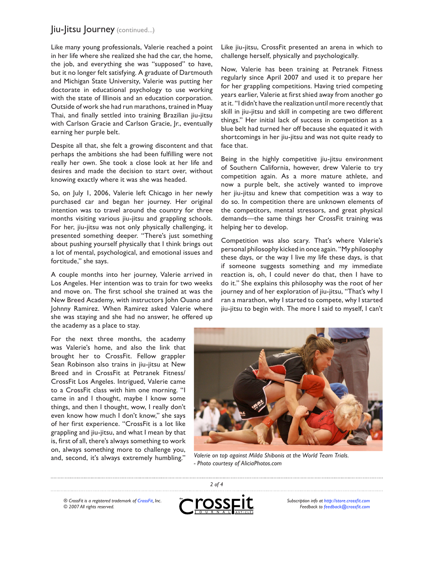## Jiu-Jitsu Journey (continued...)

Like many young professionals, Valerie reached a point in her life where she realized she had the car, the home, the job, and everything she was "supposed" to have, but it no longer felt satisfying. A graduate of Dartmouth and Michigan State University, Valerie was putting her doctorate in educational psychology to use working with the state of Illinois and an education corporation. Outside of work she had run marathons, trained in Muay Thai, and finally settled into training Brazilian jiu-jitsu with Carlson Gracie and Carlson Gracie, Jr., eventually earning her purple belt.

Despite all that, she felt a growing discontent and that perhaps the ambitions she had been fulfilling were not really her own. She took a close look at her life and desires and made the decision to start over, without knowing exactly where it was she was headed.

So, on July 1, 2006, Valerie left Chicago in her newly purchased car and began her journey. Her original intention was to travel around the country for three months visiting various jiu-jitsu and grappling schools. For her, jiu-jitsu was not only physically challenging, it presented something deeper. "There's just something about pushing yourself physically that I think brings out a lot of mental, psychological, and emotional issues and fortitude," she says.

A couple months into her journey, Valerie arrived in Los Angeles. Her intention was to train for two weeks and move on. The first school she trained at was the New Breed Academy, with instructors John Ouano and Johnny Ramirez. When Ramirez asked Valerie where she was staying and she had no answer, he offered up the academy as a place to stay.

For the next three months, the academy was Valerie's home, and also the link that brought her to CrossFit. Fellow grappler Sean Robinson also trains in jiu-jitsu at New Breed and in CrossFit at Petranek Fitness/ CrossFit Los Angeles. Intrigued, Valerie came to a CrossFit class with him one morning. "I came in and I thought, maybe I know some things, and then I thought, wow, I really don't even know how much I don't know," she says of her first experience. "CrossFit is a lot like grappling and jiu-jitsu, and what I mean by that is, first of all, there's always something to work on, always something more to challenge you, and, second, it's always extremely humbling."

Like jiu-jitsu, CrossFit presented an arena in which to challenge herself, physically and psychologically.

Now, Valerie has been training at Petranek Fitness regularly since April 2007 and used it to prepare her for her grappling competitions. Having tried competing years earlier, Valerie at first shied away from another go at it. "I didn't have the realization until more recently that skill in jiu-jitsu and skill in competing are two different things." Her initial lack of success in competition as a blue belt had turned her off because she equated it with shortcomings in her jiu-jitsu and was not quite ready to face that.

Being in the highly competitive jiu-jitsu environment of Southern California, however, drew Valerie to try competition again. As a more mature athlete, and now a purple belt, she actively wanted to improve her jiu-jitsu and knew that competition was a way to do so. In competition there are unknown elements of the competitors, mental stressors, and great physical demands—the same things her CrossFit training was helping her to develop.

Competition was also scary. That's where Valerie's personal philosophy kicked in once again. "My philosophy these days, or the way I live my life these days, is that if someone suggests something and my immediate reaction is, oh, I could never do that, then I have to do it." She explains this philosophy was the root of her journey and of her exploration of jiu-jitsu, "That's why I ran a marathon, why I started to compete, why I started jiu-jitsu to begin with. The more I said to myself, I can't



*Valerie on top against Milda Shibonis at the World Team Trials. - Photo courtesy of AliciaPhotos.com*

*® CrossFit is a registered trademark of [CrossFit,](http://www.crossfit.com) Inc. © 2007 All rights reserved.*



*2 of 4*

*Subscription info at [http://store.crossfit.com](http://journal.crossfit.com) Feedback to [feedback@crossfit.com](mailto:feedback@crossfit.com)*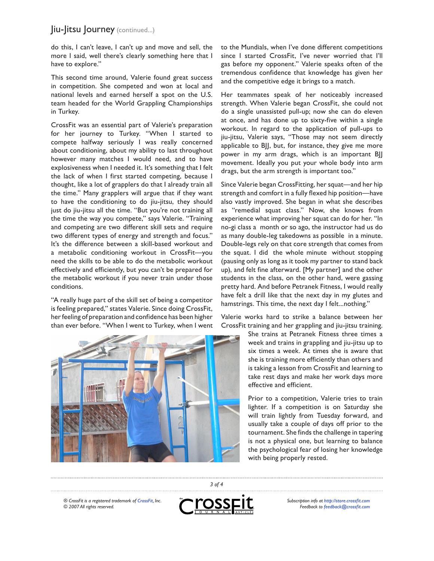### Jiu-Jitsu Journey (continued...)

do this, I can't leave, I can't up and move and sell, the more I said, well there's clearly something here that I have to explore."

This second time around, Valerie found great success in competition. She competed and won at local and national levels and earned herself a spot on the U.S. team headed for the World Grappling Championships in Turkey.

CrossFit was an essential part of Valerie's preparation for her journey to Turkey. "When I started to compete halfway seriously I was really concerned about conditioning, about my ability to last throughout however many matches I would need, and to have explosiveness when I needed it. It's something that I felt the lack of when I first started competing, because I thought, like a lot of grapplers do that I already train all the time." Many grapplers will argue that if they want to have the conditioning to do jiu-jitsu, they should just do jiu-jitsu all the time. "But you're not training all the time the way you compete," says Valerie. "Training and competing are two different skill sets and require two different types of energy and strength and focus." It's the difference between a skill-based workout and a metabolic conditioning workout in CrossFit—you need the skills to be able to do the metabolic workout effectively and efficiently, but you can't be prepared for the metabolic workout if you never train under those conditions.

"A really huge part of the skill set of being a competitor is feeling prepared," states Valerie. Since doing CrossFit, her feeling of preparation and confidence has been higher than ever before. "When I went to Turkey, when I went



to the Mundials, when I've done different competitions since I started CrossFit, I've never worried that I'll gas before my opponent." Valerie speaks often of the tremendous confidence that knowledge has given her and the competitive edge it brings to a match.

Her teammates speak of her noticeably increased strength. When Valerie began CrossFit, she could not do a single unassisted pull-up; now she can do eleven at once, and has done up to sixty-five within a single workout. In regard to the application of pull-ups to jiu-jitsu, Valerie says, "Those may not seem directly applicable to BJJ, but, for instance, they give me more power in my arm drags, which is an important BJJ movement. Ideally you put your whole body into arm drags, but the arm strength is important too."

Since Valerie began CrossFitting, her squat—and her hip strength and comfort in a fully flexed hip position—have also vastly improved. She began in what she describes as "remedial squat class." Now, she knows from experience what improving her squat can do for her. "In no-gi class a month or so ago, the instructor had us do as many double-leg takedowns as possible in a minute. Double-legs rely on that core strength that comes from the squat. I did the whole minute without stopping (pausing only as long as it took my partner to stand back up), and felt fine afterward. [My partner] and the other students in the class, on the other hand, were gassing pretty hard. And before Petranek Fitness, I would really have felt a drill like that the next day in my glutes and hamstrings. This time, the next day I felt...nothing."

Valerie works hard to strike a balance between her CrossFit training and her grappling and jiu-jitsu training.

> She trains at Petranek Fitness three times a week and trains in grappling and jiu-jitsu up to six times a week. At times she is aware that she is training more efficiently than others and is taking a lesson from CrossFit and learning to take rest days and make her work days more effective and efficient.

> Prior to a competition, Valerie tries to train lighter. If a competition is on Saturday she will train lightly from Tuesday forward, and usually take a couple of days off prior to the tournament. She finds the challenge in tapering is not a physical one, but learning to balance the psychological fear of losing her knowledge with being properly rested.

*® CrossFit is a registered trademark of [CrossFit,](http://www.crossfit.com) Inc. © 2007 All rights reserved.*



*3 of 4*

*Subscription info at [http://store.crossfit.com](http://journal.crossfit.com) Feedback to [feedback@crossfit.com](mailto:feedback@crossfit.com)*